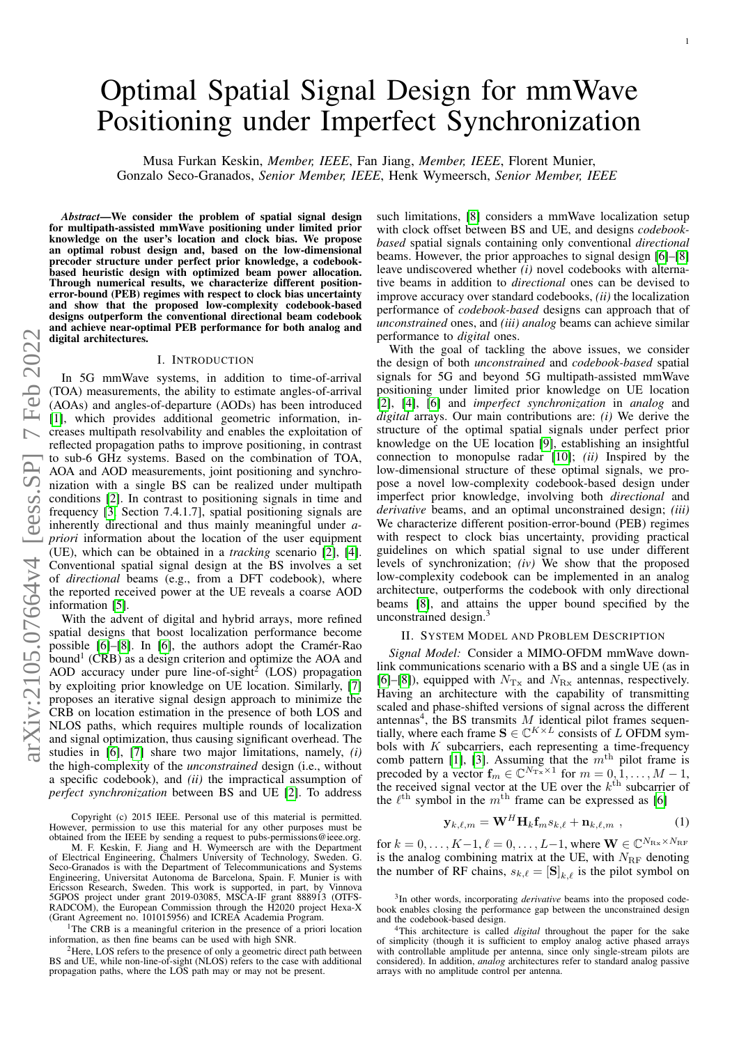# Optimal Spatial Signal Design for mmWave Positioning under Imperfect Synchronization

Musa Furkan Keskin, *Member, IEEE*, Fan Jiang, *Member, IEEE*, Florent Munier, Gonzalo Seco-Granados, *Senior Member, IEEE*, Henk Wymeersch, *Senior Member, IEEE*

*Abstract*—We consider the problem of spatial signal design for multipath-assisted mmWave positioning under limited prior knowledge on the user's location and clock bias. We propose an optimal robust design and, based on the low-dimensional precoder structure under perfect prior knowledge, a codebookbased heuristic design with optimized beam power allocation. Through numerical results, we characterize different positionerror-bound (PEB) regimes with respect to clock bias uncertainty and show that the proposed low-complexity codebook-based designs outperform the conventional directional beam codebook digital architectures.

### I. INTRODUCTION

and achieve near-optimal PEB performance for both analog and<br>  $\bigcirc$  and achieve near-optimal PEB performance for both analog and<br>  $\bigcirc$  I. INTRODUCTION<br>
I. INTRODUCTION<br>
(TOA) measurements, the ability to estimate angles-In 5G mmWave systems, in addition to time-of-arrival (TOA) measurements, the ability to estimate angles-of-arrival (AOAs) and angles-of-departure (AODs) has been introduced [\[1\]](#page-5-0), which provides additional geometric information, increases multipath resolvability and enables the exploitation of reflected propagation paths to improve positioning, in contrast to sub-6 GHz systems. Based on the combination of TOA, AOA and AOD measurements, joint positioning and synchronization with a single BS can be realized under multipath conditions [\[2\]](#page-5-1). In contrast to positioning signals in time and frequency [\[3,](#page-5-2) Section 7.4.1.7], spatial positioning signals are inherently directional and thus mainly meaningful under *apriori* information about the location of the user equipment (UE), which can be obtained in a *tracking* scenario [\[2\]](#page-5-1), [\[4\]](#page-5-3). Conventional spatial signal design at the BS involves a set of *directional* beams (e.g., from a DFT codebook), where the reported received power at the UE reveals a coarse AOD information [\[5\]](#page-5-4).

With the advent of digital and hybrid arrays, more refined spatial designs that boost localization performance become possible  $[6]$ – $[8]$ . In  $[6]$ , the authors adopt the Cramer-Rao bound<sup>1</sup> (CRB) as a design criterion and optimize the AOA and AOD accuracy under pure line-of-sight<sup>2</sup> (LOS) propagation by exploiting prior knowledge on UE location. Similarly, [\[7\]](#page-5-7) proposes an iterative signal design approach to minimize the CRB on location estimation in the presence of both LOS and NLOS paths, which requires multiple rounds of localization and signal optimization, thus causing significant overhead. The studies in [\[6\]](#page-5-5), [\[7\]](#page-5-7) share two major limitations, namely, *(i)* the high-complexity of the *unconstrained* design (i.e., without a specific codebook), and *(ii)* the impractical assumption of *perfect synchronization* between BS and UE [\[2\]](#page-5-1). To address

Copyright (c) 2015 IEEE. Personal use of this material is permitted. However, permission to use this material for any other purposes must be obtained from the IEEE by sending a request to pubs-permissions@ieee.org.

M. F. Keskin, F. Jiang and H. Wymeersch are with the Department of Electrical Engineering, Chalmers University of Technology, Sweden. G. Seco-Granados is with the Department of Telecommunications and Systems Engineering, Universitat Autonoma de Barcelona, Spain. F. Munier is with Ericsson Research, Sweden. This work is supported, in part, by Vinnova 5GPOS project under grant 2019-03085, MSCA-IF grant 888913 (OTFS-RADCOM), the European Commission through the H2020 project Hexa-X (Grant Agreement no. 101015956) and ICREA Academia Program.

<sup>1</sup>The CRB is a meaningful criterion in the presence of a priori location information, as then fine beams can be used with high SNR.

<sup>2</sup>Here, LOS refers to the presence of only a geometric direct path between BS and UE, while non-line-of-sight (NLOS) refers to the case with additional propagation paths, where the LOS path may or may not be present.

such limitations, [\[8\]](#page-5-6) considers a mmWave localization setup with clock offset between BS and UE, and designs *codebookbased* spatial signals containing only conventional *directional* beams. However, the prior approaches to signal design [\[6\]](#page-5-5)–[\[8\]](#page-5-6) leave undiscovered whether *(i)* novel codebooks with alternative beams in addition to *directional* ones can be devised to improve accuracy over standard codebooks, *(ii)* the localization performance of *codebook-based* designs can approach that of *unconstrained* ones, and *(iii) analog* beams can achieve similar performance to *digital* ones.

With the goal of tackling the above issues, we consider the design of both *unconstrained* and *codebook-based* spatial signals for 5G and beyond 5G multipath-assisted mmWave positioning under limited prior knowledge on UE location [\[2\]](#page-5-1), [\[4\]](#page-5-3), [\[6\]](#page-5-5) and *imperfect synchronization* in *analog* and *digital* arrays. Our main contributions are: *(i)* We derive the structure of the optimal spatial signals under perfect prior knowledge on the UE location [\[9\]](#page-5-8), establishing an insightful connection to monopulse radar [\[10\]](#page-5-9); *(ii)* Inspired by the low-dimensional structure of these optimal signals, we propose a novel low-complexity codebook-based design under imperfect prior knowledge, involving both *directional* and *derivative* beams, and an optimal unconstrained design; *(iii)* We characterize different position-error-bound (PEB) regimes with respect to clock bias uncertainty, providing practical guidelines on which spatial signal to use under different levels of synchronization; *(iv)* We show that the proposed low-complexity codebook can be implemented in an analog architecture, outperforms the codebook with only directional beams [\[8\]](#page-5-6), and attains the upper bound specified by the unconstrained design.<sup>3</sup>

#### II. SYSTEM MODEL AND PROBLEM DESCRIPTION

*Signal Model:* Consider a MIMO-OFDM mmWave downlink communications scenario with a BS and a single UE (as in [\[6\]](#page-5-5)–[\[8\]](#page-5-6)), equipped with  $N_{\text{Tx}}$  and  $N_{\text{Rx}}$  antennas, respectively. Having an architecture with the capability of transmitting scaled and phase-shifted versions of signal across the different antennas<sup>4</sup>, the BS transmits  $M$  identical pilot frames sequentially, where each frame  $S \in \mathbb{C}^{K \times L}$  consists of L OFDM symbols with  $K$  subcarriers, each representing a time-frequency comb pattern [\[1\]](#page-5-0), [\[3\]](#page-5-2). Assuming that the  $m<sup>th</sup>$  pilot frame is precoded by a vector  $\mathbf{f}_m \in \mathbb{C}^{N_{\text{Tx}} \times 1}$  for  $m = 0, 1, ..., M - 1$ , the received signal vector at the UE over the  $k^{\text{th}}$  subcarrier of the  $\ell^{\text{th}}$  symbol in the  $m^{\text{th}}$  frame can be expressed as [\[6\]](#page-5-5)

<span id="page-0-0"></span>
$$
\mathbf{y}_{k,\ell,m} = \mathbf{W}^H \mathbf{H}_k \mathbf{f}_m s_{k,\ell} + \mathbf{n}_{k,\ell,m} \tag{1}
$$

for  $k = 0, \ldots, K-1, \ell = 0, \ldots, L-1$ , where  $\mathbf{W} \in \mathbb{C}^{N_{\text{Rx}} \times N_{\text{RF}}}$ is the analog combining matrix at the UE, with  $N_{\text{RF}}$  denoting the number of RF chains,  $s_{k,\ell} = [\mathbf{S}]_{k,\ell}$  is the pilot symbol on

<sup>&</sup>lt;sup>3</sup>In other words, incorporating *derivative* beams into the proposed codebook enables closing the performance gap between the unconstrained design and the codebook-based design.

<sup>4</sup>This architecture is called *digital* throughout the paper for the sake of simplicity (though it is sufficient to employ analog active phased arrays with controllable amplitude per antenna, since only single-stream pilots are considered). In addition, *analog* architectures refer to standard analog passive arrays with no amplitude control per antenna.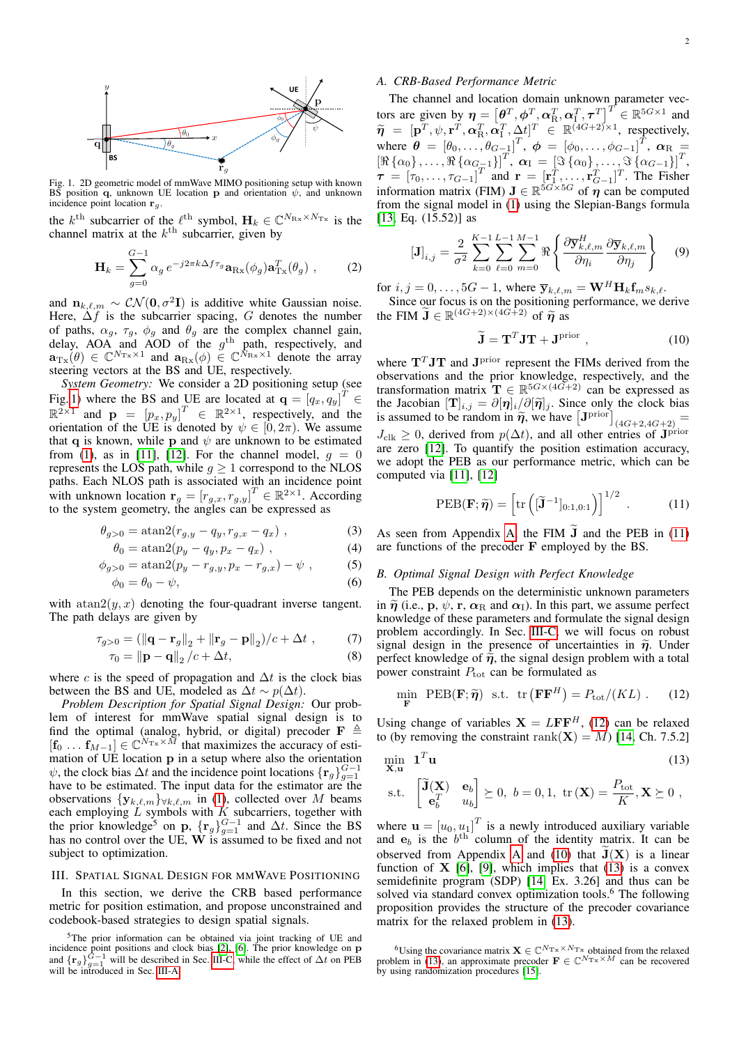

Fig. 1. 2D geometric model of mmWave MIMO positioning setup with known BS position q, unknown UE location p and orientation  $\psi$ , and unknown incidence point location  $\mathbf{r}_g$ .

the  $k^{\text{th}}$  subcarrier of the  $\ell^{\text{th}}$  symbol,  $\mathbf{H}_k \in \mathbb{C}^{N_{\text{Rx}} \times N_{\text{Tx}}}$  is the channel matrix at the  $k^{\text{th}}$  subcarrier, given by

<span id="page-1-0"></span>
$$
\mathbf{H}_{k} = \sum_{g=0}^{G-1} \alpha_{g} e^{-j2\pi k \Delta f \tau_{g}} \mathbf{a}_{\text{Rx}}(\phi_{g}) \mathbf{a}_{\text{Tx}}^{T}(\theta_{g}) , \qquad (2)
$$

and  $n_{k,\ell,m} \sim \mathcal{CN}(\mathbf{0}, \sigma^2 \mathbf{I})$  is additive white Gaussian noise. Here,  $\Delta f$  is the subcarrier spacing, G denotes the number of paths,  $\alpha_g$ ,  $\tau_g$ ,  $\phi_g$  and  $\theta_g$  are the complex channel gain, delay, AOA and AOD of the  $g<sup>th</sup>$  path, respectively, and  $\mathbf{a}_{\text{Tx}}(\theta) \in \mathbb{C}^{N_{\text{Tx}} \times 1}$  and  $\mathbf{a}_{\text{Rx}}(\phi) \in \mathbb{C}^{N_{\text{Rx}} \times 1}$  denote the array steering vectors at the BS and UE, respectively.

*System Geometry:* We consider a 2D positioning setup (see Fig. [1\)](#page-1-0) where the BS and UE are located at  $\mathbf{q} = \begin{bmatrix} q_x, q_y \end{bmatrix}^T \in$  $\mathbb{R}^{2\times 1}$  and  $\mathbf{p} = [p_x, p_y]^T \in \mathbb{R}^{2\times 1}$ , respectively, and the orientation of the UE is denoted by  $\psi \in [0, 2\pi)$ . We assume that q is known, while p and  $\psi$  are unknown to be estimated from [\(1\)](#page-0-0), as in [\[11\]](#page-5-10), [\[12\]](#page-5-11). For the channel model,  $g = 0$ represents the LOS path, while  $g \ge 1$  correspond to the NLOS paths. Each NLOS path is associated with an incidence point with unknown location  $\mathbf{r}_g = [r_{g,x}, r_{g,y}]^T \in \mathbb{R}^{2 \times 1}$ . According to the system geometry, the angles can be expressed as

$$
\theta_{g>0} = \text{atan2}(r_{g,y} - q_y, r_{g,x} - q_x) \tag{3}
$$

$$
\theta_0 = \operatorname{atan2}(p_y - q_y, p_x - q_x) , \qquad (4)
$$

$$
\phi_{g>0} = \operatorname{atan2}(p_y - r_{g,y}, p_x - r_{g,x}) - \psi , \qquad (5)
$$

$$
\phi_0 = \theta_0 - \psi,\tag{6}
$$

with  $atan2(y, x)$  denoting the four-quadrant inverse tangent. The path delays are given by

$$
\tau_{g>0} = (\|\mathbf{q} - \mathbf{r}_g\|_2 + \|\mathbf{r}_g - \mathbf{p}\|_2) / c + \Delta t , \qquad (7)
$$

$$
\tau_0 = \left\| \mathbf{p} - \mathbf{q} \right\|_2 / c + \Delta t,\tag{8}
$$

where c is the speed of propagation and  $\Delta t$  is the clock bias between the BS and UE, modeled as  $\Delta t \sim p(\Delta t)$ .

*Problem Description for Spatial Signal Design:* Our problem of interest for mmWave spatial signal design is to find the optimal (analog, hybrid, or digital) precoder  $\mathbf{F} \triangleq$  $[\mathbf{f}_0 \dots \mathbf{f}_{M-1}] \in \mathbb{C}^{N_{\text{Tx}} \times M}$  that maximizes the accuracy of estimation of UE location p in a setup where also the orientation  $\psi$ , the clock bias  $\Delta t$  and the incidence point locations  $\{r_g\}_{g=1}^{G-1}$ have to be estimated. The input data for the estimator are the observations  $\{y_{k,\ell,m}\}_{\forall k,\ell,m}$  in [\(1\)](#page-0-0), collected over M beams each employing  $\overline{L}$  symbols with  $\overline{K}$  subcarriers, together with the prior knowledge<sup>5</sup> on p,  $\{r_g\}_{g=1}^{G-1}$  and  $\Delta t$ . Since the BS has no control over the UE,  $W$  is assumed to be fixed and not subject to optimization.

#### III. SPATIAL SIGNAL DESIGN FOR MMWAVE POSITIONING

In this section, we derive the CRB based performance metric for position estimation, and propose unconstrained and codebook-based strategies to design spatial signals.

#### <span id="page-1-1"></span>*A. CRB-Based Performance Metric*

The channel and location domain unknown parameter vectors are given by  $\boldsymbol{\eta} = \left[\boldsymbol{\theta}^T, \boldsymbol{\phi}^T, \boldsymbol{\alpha}_R^T, \boldsymbol{\alpha}_I^T, \boldsymbol{\tau}^T\right]^T \in \mathbb{R}^{5G \times 1}$  and  $\widetilde{\eta} = [\mathbf{p}^T, \psi, \mathbf{r}^T, \alpha_R^T, \alpha_I^T, \Delta t]^T \in \mathbb{R}^{(4G+2)\times 1}$ , respectively, where  $\boldsymbol{\theta} = [\theta_0, \dots, \theta_{G-1}]^T$ ,  $\boldsymbol{\phi} = [\phi_0, \dots, \phi_{G-1}]^T$ ,  $\boldsymbol{\alpha}_R =$  $\left[\Re\left\{\alpha_0\right\},\ldots,\Re\left\{\alpha_{G-1}\right\}\right]^T$ ,  $\alpha_{\rm I} = \left[\Im\left\{\alpha_0\right\},\ldots,\Im\left\{\alpha_{G-1}\right\}\right]^T$ ,  $\tau = [\tau_0, \dots, \tau_{G-1}]^T$  and  $\mathbf{r} = [\mathbf{r}_1^T, \dots, \mathbf{r}_{G-1}^T]^T$ . The Fisher information matrix (FIM)  $J \in \mathbb{R}^{5G \times 5G}$  of  $\eta$  can be computed from the signal model in [\(1\)](#page-0-0) using the Slepian-Bangs formula [\[13,](#page-5-12) Eq. (15.52)] as

<span id="page-1-6"></span>
$$
\left[\mathbf{J}\right]_{i,j} = \frac{2}{\sigma^2} \sum_{k=0}^{K-1} \sum_{\ell=0}^{L-1} \sum_{m=0}^{M-1} \Re\left\{ \frac{\partial \overline{\mathbf{y}}_{k,\ell,m}^H}{\partial \eta_i} \frac{\partial \overline{\mathbf{y}}_{k,\ell,m}}{\partial \eta_j} \right\} \tag{9}
$$

for  $i, j = 0, \ldots, 5G - 1$ , where  $\overline{\mathbf{y}}_{k,\ell,m} = \mathbf{W}^H \mathbf{H}_k \mathbf{f}_m s_{k,\ell}$ .

Since our focus is on the positioning performance, we derive the FIM  $\widetilde{\mathbf{J}} \in \mathbb{R}^{(4G+2)\times(4G+2)}$  of  $\widetilde{\boldsymbol{\eta}}$  as

<span id="page-1-4"></span>
$$
\widetilde{\mathbf{J}} = \mathbf{T}^T \mathbf{J} \mathbf{T} + \mathbf{J}^{\text{prior}} \,, \tag{10}
$$

where  $T<sup>T</sup>JT$  and  $J<sup>prior</sup>$  represent the FIMs derived from the observations and the prior knowledge, respectively, and the transformation matrix  $\mathbf{T} \in \mathbb{R}^{5G \times (4G+2)}$  can be expressed as the Jacobian  $[\mathbf{T}]_{i,j} = \partial [\eta]_i / \partial [\tilde{\eta}]_j$ . Since only the clock bias<br>is assumed to be random in  $\tilde{\mathbf{p}}$  we have  $[\text{Tr}^{\text{prior}}]$ is assumed to be random in  $\tilde{\eta}$ , we have  $[J^{\text{prior}}]_{(4G+2,4G+2)} =$  $J_{\text{clk}} \geq 0$ , derived from  $p(\Delta t)$ , and all other entries of J<sup>prior</sup> are zero [\[12\]](#page-5-11). To quantify the position estimation accuracy, we adopt the PEB as our performance metric, which can be computed via [\[11\]](#page-5-10), [\[12\]](#page-5-11)

<span id="page-1-2"></span>
$$
\text{PEB}(\mathbf{F}; \widetilde{\boldsymbol{\eta}}) = \left[ \text{tr} \left( [\widetilde{\mathbf{J}}^{-1}]_{0:1,0:1} \right) \right]^{1/2} . \tag{11}
$$

As seen from Appendix [A,](#page-5-13) the FIM  $\bar{J}$  and the PEB in [\(11\)](#page-1-2) are functions of the precoder F employed by the BS.

#### *B. Optimal Signal Design with Perfect Knowledge*

The PEB depends on the deterministic unknown parameters in  $\tilde{\eta}$  (i.e., p,  $\psi$ , r,  $\alpha_R$  and  $\alpha_I$ ). In this part, we assume perfect knowledge of these parameters and formulate the signal design problem accordingly. In Sec. [III-C,](#page-2-0) we will focus on robust signal design in the presence of uncertainties in  $\tilde{\eta}$ . Under perfect knowledge of  $\tilde{\eta}$ , the signal design problem with a total power constraint  $P_{\text{tot}}$  can be formulated as

<span id="page-1-5"></span><span id="page-1-3"></span>
$$
\min_{\mathbf{F}} \ \text{PEB}(\mathbf{F}; \widetilde{\boldsymbol{\eta}}) \ \text{ s.t. } \ \text{tr}\left(\mathbf{F}\mathbf{F}^{H}\right) = P_{\text{tot}}/(KL) \ . \tag{12}
$$

Using change of variables  $X = LFF<sup>H</sup>$ , [\(12\)](#page-1-3) can be relaxed to (by removing the constraint rank( $X$ ) = M) [\[14,](#page-5-14) Ch. 7.5.2]

$$
\min_{\mathbf{X}, \mathbf{u}} \quad \mathbf{1}^T \mathbf{u} \tag{13}
$$

s.t. 
$$
\begin{bmatrix} \widetilde{\mathbf{J}}(\mathbf{X}) & \mathbf{e}_b \\ \mathbf{e}_b^T & u_b \end{bmatrix} \succeq 0, b = 0, 1, \text{tr}(\mathbf{X}) = \frac{P_{\text{tot}}}{K}, \mathbf{X} \succeq 0,
$$

where  $\mathbf{u} = [u_0, u_1]^T$  is a newly introduced auxiliary variable and  $e_b$  is the  $b<sup>th</sup>$  column of the identity matrix. It can be observed from [A](#page-5-13)ppendix A and [\(10\)](#page-1-4) that  $\tilde{J}(X)$  is a linear function of  $X$  [\[6\]](#page-5-5), [\[9\]](#page-5-8), which implies that [\(13\)](#page-1-5) is a convex semidefinite program (SDP) [\[14,](#page-5-14) Ex. 3.26] and thus can be solved via standard convex optimization tools.<sup>6</sup> The following proposition provides the structure of the precoder covariance matrix for the relaxed problem in [\(13\)](#page-1-5).

<sup>5</sup>The prior information can be obtained via joint tracking of UE and incidence point positions and clock bias [\[2\]](#page-5-1), [\[6\]](#page-5-5). The prior knowledge on **p** and  $\{r_g\}_{g=1}^{G-1}$  will be described in Sec. [III-C,](#page-2-0) while the effect of  $\Delta t$  on PEB will be introduced in Sec. [III-A.](#page-1-1)

<sup>&</sup>lt;sup>6</sup>Using the covariance matrix  $\mathbf{X} \in \mathbb{C}^{N_{\text{Tx}}} \times N_{\text{Tx}}}$  obtained from the relaxed problem in [\(13\)](#page-1-5), an approximate precoder  $\mathbf{F} \in \mathbb{C}^{N_{\text{Tx}} \times M}$  can be recovered by using randomization procedures  $[15]$ .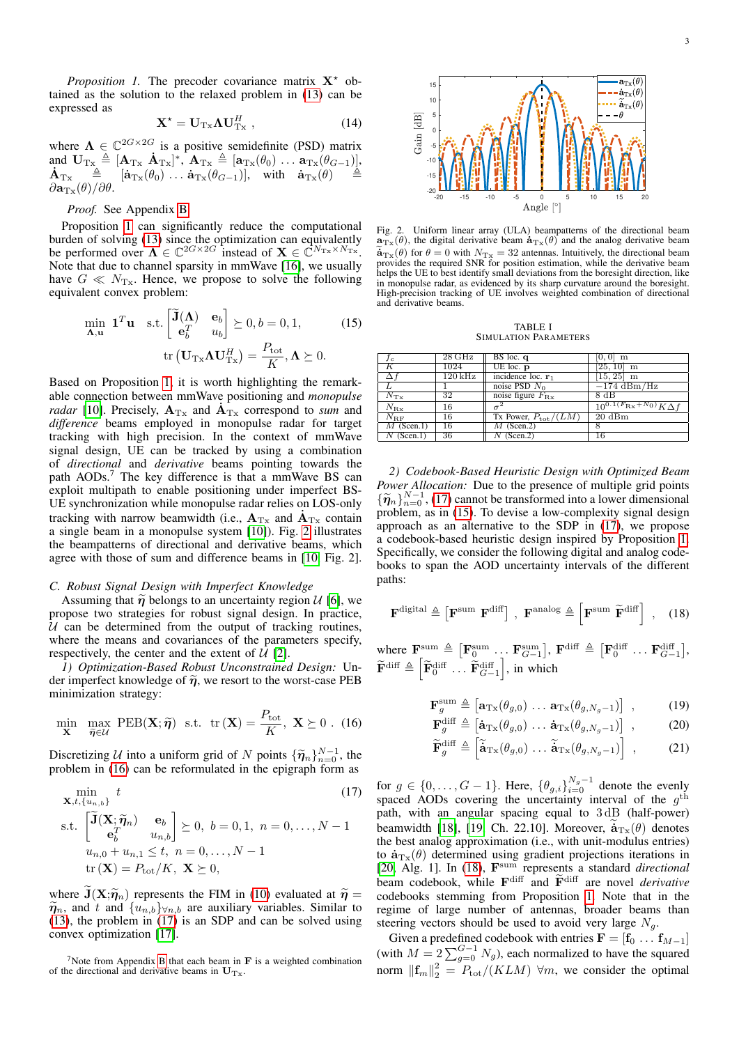<span id="page-2-1"></span>*Proposition 1.* The precoder covariance matrix  $X^*$  obtained as the solution to the relaxed problem in [\(13\)](#page-1-5) can be expressed as

$$
\mathbf{X}^{\star} = \mathbf{U}_{\mathrm{Tx}} \mathbf{\Lambda} \mathbf{U}_{\mathrm{Tx}}^{H} , \qquad (14)
$$

where  $\Lambda \in \mathbb{C}^{2G \times 2G}$  is a positive semidefinite (PSD) matrix and UTx , [ATx .  $\mathbf{\dot{A}}_{\mathrm{Tx}} \triangleq [\mathbf{A}_{\mathrm{Tx}} \ \dot{\mathbf{A}}_{\mathrm{Tx}}]^*, \ \mathbf{A}_{\mathrm{Tx}} \triangleq [\mathbf{a}_{\mathrm{Tx}}(\theta_0) \dots \mathbf{a}_{\mathrm{Tx}}(\theta_{G-1})],\ \mathbf{\dot{A}}_{\mathrm{Tx}} \triangleq [\mathbf{\dot{a}}_{\mathrm{Tx}}(\theta_0) \dots \mathbf{\dot{a}}_{\mathrm{Tx}}(\theta_{G-1})], \ \ \text{with} \ \ \mathbf{\dot{a}}_{\mathrm{Tx}}(\theta) \triangleq$  $\partial \mathbf{a}_{\mathrm{Tx}}(\theta)/\partial \theta.$ 

#### *Proof.* See Appendix [B.](#page-5-16)

Proposition [1](#page-2-1) can significantly reduce the computational burden of solving [\(13\)](#page-1-5) since the optimization can equivalently be performed over  $\Lambda \in \mathbb{C}^{2G \times 2G}$  instead of  $\mathbf{X} \in \mathbb{C}^{N_{\text{Tx}} \times N_{\text{Tx}}}.$ Note that due to channel sparsity in mmWave [\[16\]](#page-5-17), we usually have  $G \ll N_{\text{Tx}}$ . Hence, we propose to solve the following equivalent convex problem:

$$
\min_{\mathbf{\Lambda}, \mathbf{u}} \mathbf{1}^T \mathbf{u} \quad \text{s.t.} \begin{bmatrix} \widetilde{\mathbf{J}}(\mathbf{\Lambda}) & \mathbf{e}_b \\ \mathbf{e}_b^T & u_b \end{bmatrix} \succeq 0, b = 0, 1, \quad \text{(15)}
$$
\n
$$
\text{tr} \left( \mathbf{U}_{\text{T} \times} \mathbf{\Lambda} \mathbf{U}_{\text{T} \times}^H \right) = \frac{P_{\text{tot}}}{K}, \mathbf{\Lambda} \succeq 0.
$$

Based on Proposition [1,](#page-2-1) it is worth highlighting the remarkable connection between mmWave positioning and *monopulse* . *radar* [\[10\]](#page-5-9). Precisely,  $A_{Tx}$  and  $A_{Tx}$  correspond to *sum* and *difference* beams employed in monopulse radar for target tracking with high precision. In the context of mmWave signal design, UE can be tracked by using a combination of *directional* and *derivative* beams pointing towards the path AODs.<sup>7</sup> The key difference is that a mmWave BS can exploit multipath to enable positioning under imperfect BS-UE synchronization while monopulse radar relies on LOS-only . tracking with narrow beamwidth (i.e.,  $A_{Tx}$  and  $A_{Tx}$  contain a single beam in a monopulse system [\[10\]](#page-5-9)). Fig. [2](#page-2-2) illustrates the beampatterns of directional and derivative beams, which agree with those of sum and difference beams in [\[10,](#page-5-9) Fig. 2].

## <span id="page-2-0"></span>*C. Robust Signal Design with Imperfect Knowledge*

Assuming that  $\tilde{\eta}$  belongs to an uncertainty region  $\mathcal{U}$  [\[6\]](#page-5-5), we propose two strategies for robust signal design. In practice,  $U$  can be determined from the output of tracking routines, where the means and covariances of the parameters specify, respectively, the center and the extent of  $U$  [\[2\]](#page-5-1).

*1) Optimization-Based Robust Unconstrained Design:* Under imperfect knowledge of  $\tilde{\eta}$ , we resort to the worst-case PEB minimization strategy:

$$
\min_{\mathbf{X}} \ \ \max_{\widetilde{\boldsymbol{\eta}} \in \mathcal{U}} \ \text{PEB}(\mathbf{X}; \widetilde{\boldsymbol{\eta}}) \ \ \text{s.t.} \ \ \text{tr}\left(\mathbf{X}\right) = \frac{P_{\text{tot}}}{K}, \ \mathbf{X} \succeq 0 \ . \ \ (16)
$$

Discretizing U into a uniform grid of N points  $\{\tilde{\pmb{\eta}}_n\}_{n=0}^{N-1}$ , the problem in (16) can be reformulated in the epigraph form as problem in [\(16\)](#page-2-3) can be reformulated in the epigraph form as

$$
\min_{\mathbf{X},t,\{u_{n,b}\}} t
$$
\n
$$
\text{s.t.} \begin{bmatrix}\n\widetilde{\mathbf{J}}(\mathbf{X}; \widetilde{\boldsymbol{\eta}}_n) & \mathbf{e}_b \\
\mathbf{e}_b^T & u_{n,b}\n\end{bmatrix} \succeq 0, \ b = 0, 1, \ n = 0, \dots, N - 1
$$
\n
$$
u_{n,0} + u_{n,1} \le t, \ n = 0, \dots, N - 1
$$
\n
$$
\text{tr}(\mathbf{X}) = P_{\text{tot}}/K, \ \mathbf{X} \succeq 0,
$$
\n(17)

where  $J(X;\tilde{\eta}_n)$  represents the FIM in [\(10\)](#page-1-4) evaluated at  $\tilde{\eta} =$  $\widetilde{\eta}_n$ , and t and  $\{u_{n,b}\}_{\forall n,b}$  are auxiliary variables. Similar to [\(13\)](#page-1-5), the problem in [\(17\)](#page-2-4) is an SDP and can be solved using convex optimization [\[17\]](#page-5-18).



Fig. 2. Uniform linear array (ULA) beampatterns of the directional beam Fig. 2. Uniform linear array (ULA) beampatterns of the directional beam  $\mathbf{a}_{\text{Tx}}(\theta)$ , the digital derivative beam  $\mathbf{a}_{\text{Tx}}(\theta)$  and the analog derivative beam  $\mathbf{a}_{\text{Tx}}(\theta)$ , the digital derivative beam  $\mathbf{a}_{\text{Tx}}(\theta)$  and the analog derivative beam  $\mathbf{a}_{\text{Tx}}(\theta)$  for  $\theta = 0$  with  $N_{\text{Tx}} = 32$  antennas. Intuitively, the directional beam provides the required SNR for position estimation, while the derivative beam helps the UE to best identify small deviations from the boresight direction, like in monopulse radar, as evidenced by its sharp curvature around the boresight. High-precision tracking of UE involves weighted combination of directional and derivative beams.

<span id="page-2-2"></span>TABLE I SIMULATION PARAMETERS

<span id="page-2-7"></span><span id="page-2-5"></span>

| fc              | 28 GHz              | $BS$ loc. q                     | $ 0,0 $ m                                    |
|-----------------|---------------------|---------------------------------|----------------------------------------------|
| Κ               | 1024                | UE $loc.$ $p$                   | $[25, 10]$ m                                 |
|                 | $120\,\mathrm{kHz}$ | incidence loc. $\mathbf{r}_1$   | $[15, 25]$ m                                 |
|                 |                     | noise PSD $N_0$                 | $-174 \text{ dBm/Hz}$                        |
| $N_{\text{Tx}}$ | 32                  | noise figure $F_{\text{Rx}}$    | 8 dB                                         |
| $N_{\rm{Rx}}$   | 16                  |                                 | $\frac{10^{0.1(F_{\rm Rx}+N_0)}}{K\Delta f}$ |
| $N_{\rm BF}$    | 16                  | Tx Power, $P_{\text{tot}}/(LM)$ | $20 \text{ dBm}$                             |
| $M$ (Scen.1)    | 16                  | $M$ (Scen.2)                    |                                              |
| $N$ (Scen.1)    | 36                  | $N$ (Scen.2)                    | 16                                           |

*2) Codebook-Based Heuristic Design with Optimized Beam Power Allocation:* Due to the presence of multiple grid points  ${\{\tilde{\eta}_n\}}_{n=0}^{N-1}$ , [\(17\)](#page-2-4) cannot be transformed into a lower dimensional<br>problem, as in (15). To devise a low-complexity signal design problem, as in [\(15\)](#page-2-5). To devise a low-complexity signal design approach as an alternative to the SDP in [\(17\)](#page-2-4), we propose a codebook-based heuristic design inspired by Proposition [1.](#page-2-1) Specifically, we consider the following digital and analog codebooks to span the AOD uncertainty intervals of the different paths:

$$
\mathbf{F}^{\text{digital}} \triangleq \left[ \mathbf{F}^{\text{sum}} \ \mathbf{F}^{\text{diff}} \right] \,, \ \mathbf{F}^{\text{analog}} \triangleq \left[ \mathbf{F}^{\text{sum}} \ \widetilde{\mathbf{F}}^{\text{diff}} \right] \,, \quad (18)
$$

where  $\mathbf{F}_{\text{sum}}^{\text{sum}} \triangleq [\mathbf{F}_0^{\text{sum}} \dots \mathbf{F}_{G-1}^{\text{sum}}]$ ,  $\mathbf{F}^{\text{diff}} \triangleq [\mathbf{F}_0^{\text{diff}} \dots \mathbf{F}_{G-1}^{\text{diff}}]$ ,  $\widetilde{\mathbf{F}}^{\text{diff}} \triangleq \left[ \widetilde{\mathbf{F}}_0^{\text{diff}} \dots \widetilde{\mathbf{F}}_{G-1}^{\text{diff}} \right]$ , in which

<span id="page-2-6"></span>
$$
\mathbf{F}_g^{\text{sum}} \triangleq \left[ \mathbf{a}_{\text{Tx}}(\theta_{g,0}) \dots \mathbf{a}_{\text{Tx}}(\theta_{g,N_g-1}) \right] , \qquad (19)
$$
  
\n
$$
\mathbf{F}^{\text{diff}} \triangleq \left[ \dot{\mathbf{b}} - (\theta_{g,N_g}) \right] \cdot \mathbf{b} - (\theta_{g,N_g}) \tag{20}
$$

$$
\mathbf{F}_g^{\text{diff}} \triangleq \left[ \dot{\mathbf{a}}_{\text{Tx}}(\theta_{g,0}) \dots \dot{\mathbf{a}}_{\text{Tx}}(\theta_{g,N_g-1}) \right] , \qquad (20)
$$

$$
\widetilde{\mathbf{F}}_g^{\text{diff}} \triangleq \left[ \widetilde{\mathbf{a}}_{\text{Tx}}(\theta_{g,0}) \dots \widetilde{\mathbf{a}}_{\text{Tx}}(\theta_{g,N_g-1}) \right] ,\qquad(21)
$$

<span id="page-2-4"></span><span id="page-2-3"></span>for  $g \in \{0, \ldots, G-1\}$ . Here,  $\{\theta_{g,i}\}_{i=0}^{N_g-1}$  denote the evenly spaced AODs covering the uncertainty interval of the  $g<sup>th</sup>$ path, with an angular spacing equal to 3 dB (half-power) beamwidth [\[18\]](#page-5-19), [\[19,](#page-5-20) Ch. 22.10]. Moreover,  $\tilde{a}_{Tx}(\theta)$  denotes the heat engles approximation (i.e., with unit marked untries) the best analog approximation (i.e., with unit-modulus entries) the best analog approximation (i.e., with unit-modulus entries)<br>to  $\dot{\mathbf{a}}_{T_x}(\theta)$  determined using gradient projections iterations in [\[20,](#page-5-21) Alg. 1]. In [\(18\)](#page-2-6), F sum represents a standard *directional* beam codebook, while  $\mathbf{F}^{\text{diff}}$  and  $\tilde{\mathbf{F}}^{\text{diff}}$  are novel *derivative* codebooks stemming from Proposition [1.](#page-2-1) Note that in the regime of large number of antennas, broader beams than steering vectors should be used to avoid very large  $N_q$ .

Given a predefined codebook with entries  $\mathbf{F} = [\mathbf{f}_0 \dots \mathbf{f}_{M-1}]$ (with  $M = 2\sum_{g=0}^{G-1} N_g$ ), each normalized to have the squared norm  $\left\Vert \mathbf{f}_{m}\right\Vert _{2}^{2}=P_{\text{tot}}/(KLM)$   $\forall m$ , we consider the optimal

<sup>&</sup>lt;sup>7</sup>Note from Appendix [B](#page-5-16) that each beam in  $\bf{F}$  is a weighted combination of the directional and derivative beams in  $U_{Tx}$ .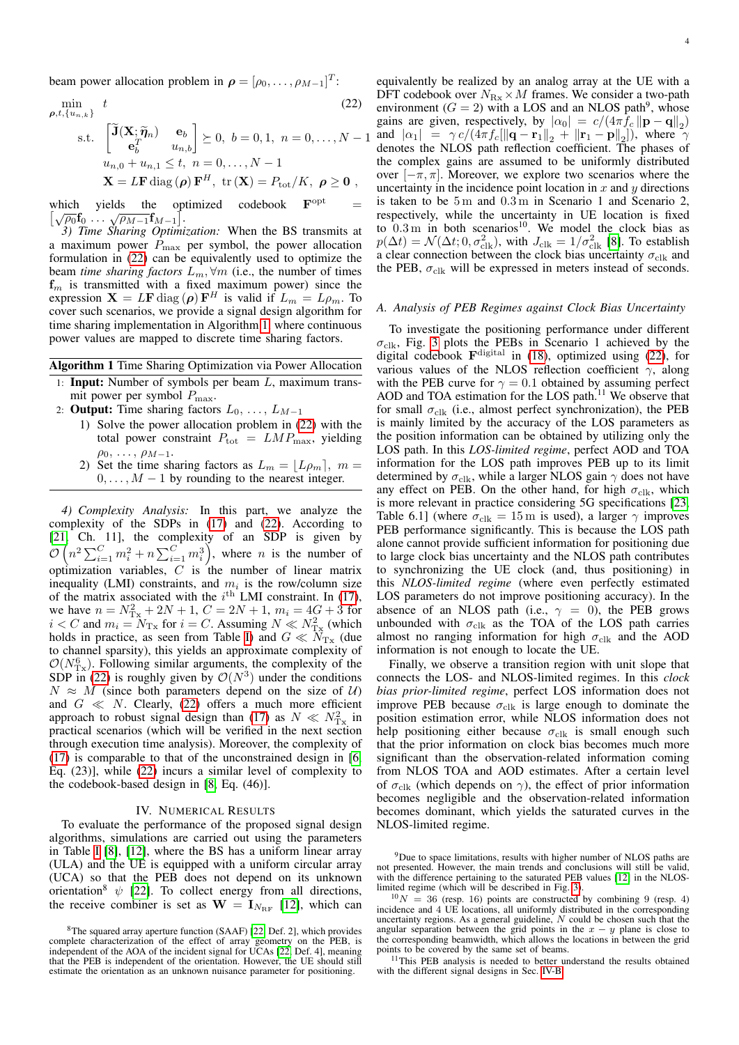beam power allocation problem in  $\rho = [\rho_0, \dots, \rho_{M-1}]^T$ :

 $\rho,t$ 

$$
\min_{t, \{u_{n,k}\}} t
$$
\n
$$
\text{s.t. } \begin{bmatrix} \widetilde{\mathbf{J}}(\mathbf{X}; \widetilde{\boldsymbol{\eta}}_n) & \mathbf{e}_b \\ \mathbf{e}_b^T & u_{n,b} \end{bmatrix} \succeq 0, \ b = 0, 1, \ n = 0, \dots, N - 1
$$
\n
$$
u_{n,0} + u_{n,1} \le t, \ n = 0, \dots, N - 1
$$
\n
$$
\mathbf{X} = L\mathbf{F} \operatorname{diag}(\boldsymbol{\rho}) \mathbf{F}^H, \ \text{tr}(\mathbf{X}) = P_{\text{tot}} / K, \ \boldsymbol{\rho} \ge \mathbf{0} \ ,
$$
\n(22)

which yields the optimized codebook  $\mathbf{F}^{\text{opt}}$  which yields the optimized codebook  $\mathbf{F}^{\text{opt}} = \sqrt{\rho_0} \mathbf{f}_0 \dots \sqrt{\rho_{M-1}} \mathbf{f}_{M-1}$ .

*3) Time Sharing Optimization:* When the BS transmits at a maximum power  $P_{\text{max}}$  per symbol, the power allocation formulation in [\(22\)](#page-3-0) can be equivalently used to optimize the beam *time sharing factors*  $L_m$ ,  $\forall m$  (i.e., the number of times  $f_m$  is transmitted with a fixed maximum power) since the expression  $X = LF \text{ diag}(\rho) F^H$  is valid if  $L_m = L \rho_m$ . To cover such scenarios, we provide a signal design algorithm for time sharing implementation in Algorithm [1,](#page-3-1) where continuous power values are mapped to discrete time sharing factors.

## Algorithm 1 Time Sharing Optimization via Power Allocation

- <span id="page-3-1"></span>1: **Input:** Number of symbols per beam  $L$ , maximum transmit power per symbol  $P_{\text{max}}$ .
- 2: **Output:** Time sharing factors  $L_0, \ldots, L_{M-1}$ 
	- 1) Solve the power allocation problem in [\(22\)](#page-3-0) with the total power constraint  $P_{\text{tot}} = LMP_{\text{max}}$ , yielding  $\rho_0, \ldots, \rho_{M-1}.$
	- 2) Set the time sharing factors as  $L_m = \lfloor L \rho_m \rfloor$ ,  $m =$  $0, \ldots, M-1$  by rounding to the nearest integer.

*4) Complexity Analysis:* In this part, we analyze the complexity of the SDPs in [\(17\)](#page-2-4) and [\(22\)](#page-3-0). According to [\[21,](#page-5-22) Ch. 11], the complexity of an SDP is given by  $\mathcal{O}\left(n^2\sum_{i=1}^C m_i^2 + n\sum_{i=1}^C m_i^3\right)$ , where *n* is the number of optimization variables,  $C$  is the number of linear matrix inequality (LMI) constraints, and  $m_i$  is the row/column size of the matrix associated with the  $i^{\text{th}}$  LMI constraint. In [\(17\)](#page-2-4), we have  $n = N_{\text{Tx}}^2 + 2N + 1$ ,  $C = 2N + 1$ ,  $m_i = 4G + 3$  for  $i < C$  and  $m_i = N_{\text{Tx}}$  for  $i = C$ . Assuming  $N \ll N_{\text{Tx}}^2$  (which holds in practice, as seen from Table [I\)](#page-2-7) and  $G \ll \hat{N}_{Tx}$  (due to channel sparsity), this yields an approximate complexity of  $\mathcal{O}(N_{\text{Tx}}^6)$ . Following similar arguments, the complexity of the SDP in [\(22\)](#page-3-0) is roughly given by  $\mathcal{O}(N^3)$  under the conditions  $N \approx M$  (since both parameters depend on the size of U) and  $G \ll N$ . Clearly, [\(22\)](#page-3-0) offers a much more efficient approach to robust signal design than [\(17\)](#page-2-4) as  $N \ll N_{\text{Tx}}^2$  in practical scenarios (which will be verified in the next section through execution time analysis). Moreover, the complexity of [\(17\)](#page-2-4) is comparable to that of the unconstrained design in [\[6,](#page-5-5) Eq. (23)], while [\(22\)](#page-3-0) incurs a similar level of complexity to the codebook-based design in [\[8,](#page-5-6) Eq. (46)].

## IV. NUMERICAL RESULTS

To evaluate the performance of the proposed signal design algorithms, simulations are carried out using the parameters in Table [I](#page-2-7) [\[8\]](#page-5-6), [\[12\]](#page-5-11), where the BS has a uniform linear array (ULA) and the UE is equipped with a uniform circular array (UCA) so that the PEB does not depend on its unknown orientation<sup>8</sup>  $\psi$  [\[22\]](#page-5-23). To collect energy from all directions, the receive combiner is set as  $W = I_{N_{\text{RF}}}$  [\[12\]](#page-5-11), which can

<span id="page-3-0"></span>equivalently be realized by an analog array at the UE with a DFT codebook over  $N_{\text{Rx}} \times M$  frames. We consider a two-path environment ( $G = 2$ ) with a LOS and an NLOS path<sup>9</sup>, whose gains are given, respectively, by  $|\alpha_0| = c/(4\pi f_c ||\mathbf{p} - \mathbf{q}||_2)$ and  $|\alpha_1| = \gamma c/(4\pi f_c [\|\mathbf{q} - \mathbf{r}_1\|_2 + \|\mathbf{r}_1 - \mathbf{p}\|_2])$ , where  $\gamma$ denotes the NLOS path reflection coefficient. The phases of the complex gains are assumed to be uniformly distributed over  $[-\pi, \pi]$ . Moreover, we explore two scenarios where the uncertainty in the incidence point location in  $x$  and  $y$  directions is taken to be 5 m and 0.3 m in Scenario 1 and Scenario 2, respectively, while the uncertainty in UE location is fixed to  $0.3 \text{ m}$  in both scenarios<sup>10</sup>. We model the clock bias as  $p(\Delta t) = \mathcal{N}(\Delta t; 0, \sigma_{\text{clk}}^2)$ , with  $J_{\text{clk}} = 1/\sigma_{\text{clk}}^2$  [\[8\]](#page-5-6). To establish a clear connection between the clock bias uncertainty  $\sigma_{\rm{clk}}$  and the PEB,  $\sigma_{\text{clk}}$  will be expressed in meters instead of seconds.

## *A. Analysis of PEB Regimes against Clock Bias Uncertainty*

To investigate the positioning performance under different  $\sigma_{\text{clk}}$ , Fig. [3](#page-4-0) plots the PEBs in Scenario 1 achieved by the digital codebook  $\mathbf{F}^{\text{digital}}$  in [\(18\)](#page-2-6), optimized using [\(22\)](#page-3-0), for various values of the NLOS reflection coefficient  $\gamma$ , along with the PEB curve for  $\gamma = 0.1$  obtained by assuming perfect AOD and TOA estimation for the LOS path.<sup>11</sup> We observe that for small  $\sigma_{\text{clk}}$  (i.e., almost perfect synchronization), the PEB is mainly limited by the accuracy of the LOS parameters as the position information can be obtained by utilizing only the LOS path. In this *LOS-limited regime*, perfect AOD and TOA information for the LOS path improves PEB up to its limit determined by  $\sigma_{\text{clk}}$ , while a larger NLOS gain  $\gamma$  does not have any effect on PEB. On the other hand, for high  $\sigma_{\text{clk}}$ , which is more relevant in practice considering 5G specifications [\[23,](#page-5-24) Table 6.1] (where  $\sigma_{\text{clk}} = 15 \text{ m}$  is used), a larger  $\gamma$  improves PEB performance significantly. This is because the LOS path alone cannot provide sufficient information for positioning due to large clock bias uncertainty and the NLOS path contributes to synchronizing the UE clock (and, thus positioning) in this *NLOS-limited regime* (where even perfectly estimated LOS parameters do not improve positioning accuracy). In the absence of an NLOS path (i.e.,  $\gamma = 0$ ), the PEB grows unbounded with  $\sigma_{\text{clk}}$  as the TOA of the LOS path carries almost no ranging information for high  $\sigma_{\text{clk}}$  and the AOD information is not enough to locate the UE.

Finally, we observe a transition region with unit slope that connects the LOS- and NLOS-limited regimes. In this *clock bias prior-limited regime*, perfect LOS information does not improve PEB because  $\sigma_{\text{clk}}$  is large enough to dominate the position estimation error, while NLOS information does not help positioning either because  $\sigma_{\text{clk}}$  is small enough such that the prior information on clock bias becomes much more significant than the observation-related information coming from NLOS TOA and AOD estimates. After a certain level of  $\sigma_{\text{clk}}$  (which depends on  $\gamma$ ), the effect of prior information becomes negligible and the observation-related information becomes dominant, which yields the saturated curves in the NLOS-limited regime.

<sup>9</sup>Due to space limitations, results with higher number of NLOS paths are not presented. However, the main trends and conclusions will still be valid, with the difference pertaining to the saturated PEB values [\[12\]](#page-5-11) in the NLOSlimited regime (which will be described in Fig. [3\)](#page-4-0).

<sup>11</sup>This PEB analysis is needed to better understand the results obtained with the different signal designs in Sec. [IV-B.](#page-4-1)

<sup>8</sup>The squared array aperture function (SAAF) [\[22,](#page-5-23) Def. 2], which provides complete characterization of the effect of array geometry on the PEB, is independent of the AOA of the incident signal for UCAs [\[22,](#page-5-23) Def. 4], meaning that the PEB is independent of the orientation. However, the UE should still estimate the orientation as an unknown nuisance parameter for positioning.

 $10N = 36$  (resp. 16) points are constructed by combining 9 (resp. 4) incidence and 4 UE locations, all uniformly distributed in the corresponding uncertainty regions. As a general guideline,  $N$  could be chosen such that the angular separation between the grid points in the  $x - y$  plane is close to the corresponding beamwidth, which allows the locations in between the grid points to be covered by the same set of beams.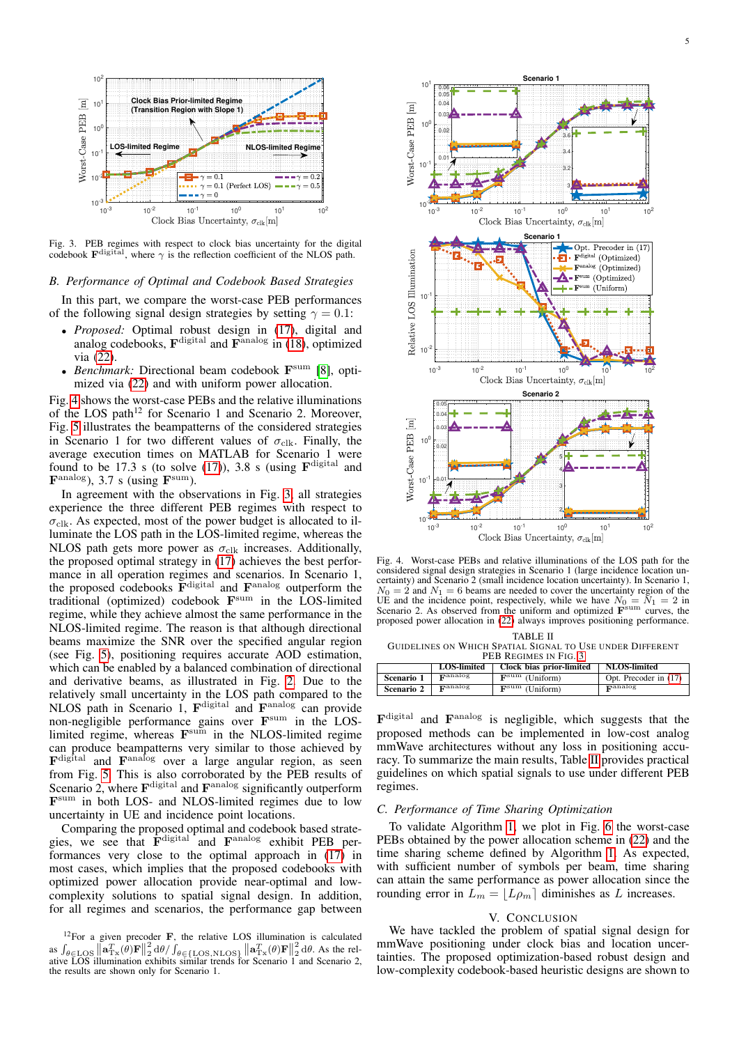

Fig. 3. PEB regimes with respect to clock bias uncertainty for the digital codebook  $\mathbf{F}^{\text{digital}}$ , where  $\gamma$  is the reflection coefficient of the NLOS path.

## <span id="page-4-1"></span>*B. Performance of Optimal and Codebook Based Strategies*

In this part, we compare the worst-case PEB performances of the following signal design strategies by setting  $\gamma = 0.1$ :

- *Proposed:* Optimal robust design in [\(17\)](#page-2-4), digital and analog codebooks,  $\mathbf{F}^{\text{digital}}$  and  $\mathbf{F}^{\text{analog}}$  in [\(18\)](#page-2-6), optimized via [\(22\)](#page-3-0).
- *Benchmark:* Directional beam codebook F sum [\[8\]](#page-5-6), optimized via [\(22\)](#page-3-0) and with uniform power allocation.

Fig. [4](#page-4-2) shows the worst-case PEBs and the relative illuminations of the LOS path<sup>12</sup> for Scenario 1 and Scenario 2. Moreover, Fig. [5](#page-5-25) illustrates the beampatterns of the considered strategies in Scenario 1 for two different values of  $\sigma_{\text{clk}}$ . Finally, the average execution times on MATLAB for Scenario 1 were found to be 17.3 s (to solve  $(17)$ ), 3.8 s (using  $\mathbf{F}^{\text{digital}}$  and  $\mathbf{F}^{\text{analog}}$ ), 3.7 s (using  $\mathbf{F}^{\text{sum}}$ ).

In agreement with the observations in Fig. [3,](#page-4-0) all strategies experience the three different PEB regimes with respect to  $\sigma_{\text{clk}}$ . As expected, most of the power budget is allocated to illuminate the LOS path in the LOS-limited regime, whereas the NLOS path gets more power as  $\sigma_{\text{clk}}$  increases. Additionally, the proposed optimal strategy in [\(17\)](#page-2-4) achieves the best performance in all operation regimes and scenarios. In Scenario 1, the proposed codebooks  $\overline{\mathbf{F}}^{\text{digital}}$  and  $\mathbf{F}^{\text{analog}}$  outperform the traditional (optimized) codebook F sum in the LOS-limited regime, while they achieve almost the same performance in the NLOS-limited regime. The reason is that although directional beams maximize the SNR over the specified angular region (see Fig. [5\)](#page-5-25), positioning requires accurate AOD estimation, which can be enabled by a balanced combination of directional and derivative beams, as illustrated in Fig. [2.](#page-2-2) Due to the relatively small uncertainty in the LOS path compared to the NLOS path in Scenario 1, F<sup>digital</sup> and F<sup>analog</sup> can provide non-negligible performance gains over F<sup>sum</sup> in the LOSlimited regime, whereas  $\mathbf{F}^{\text{sum}}$  in the NLOS-limited regime can produce beampatterns very similar to those achieved by F<sup>digital</sup> and F<sup>analog</sup> over a large angular region, as seen from Fig. [5.](#page-5-25) This is also corroborated by the PEB results of Scenario 2, where  $\mathbf{F}^{\text{digital}}$  and  $\mathbf{F}^{\text{analog}}$  significantly outperform F sum in both LOS- and NLOS-limited regimes due to low uncertainty in UE and incidence point locations.

Comparing the proposed optimal and codebook based strategies, we see that F<sup>digital</sup> and F<sup>analog</sup> exhibit PEB performances very close to the optimal approach in [\(17\)](#page-2-4) in most cases, which implies that the proposed codebooks with optimized power allocation provide near-optimal and lowcomplexity solutions to spatial signal design. In addition, for all regimes and scenarios, the performance gap between

<span id="page-4-0"></span>

<span id="page-4-2"></span>Fig. 4. Worst-case PEBs and relative illuminations of the LOS path for the considered signal design strategies in Scenario 1 (large incidence location uncertainty) and Scenario 2 (small incidence location uncertainty). In Scenario 1,  $N_0 = 2$  and  $N_1 = 6$  beams are needed to cover the uncertainty region of the UE and the incidence point, respectively, while we have  $N_0 = N_1 = 2$  in Scenario 2. As observed from the uniform and optimized  $\mathbf{F}^{\text{sum}}$  curves, the proposed power allocation in [\(22\)](#page-3-0) always improves positioning performance.

<span id="page-4-3"></span>TABLE II GUIDELINES ON WHICH SPATIAL SIGNAL TO USE UNDER DIFFERENT PEB REGIMES IN FIG. [3](#page-4-0)

|            | <b>LOS-limited</b>  | Clock bias prior-limited            | <b>NLOS-limited</b>   |  |
|------------|---------------------|-------------------------------------|-----------------------|--|
| Scenario 1 | $\mathbf{r}$ analog | $\mathbf{F}^{\text{sum}}$ (Uniform) | Opt. Precoder in (17) |  |
| Scenario 2 | $\mathbf{r}$ analog | $\mathbf{F}^{\text{sum}}$ (Uniform) | $\mathbf{r}$ analog   |  |

F<sup>digital</sup> and F<sup>analog</sup> is negligible, which suggests that the proposed methods can be implemented in low-cost analog mmWave architectures without any loss in positioning accuracy. To summarize the main results, Table [II](#page-4-3) provides practical guidelines on which spatial signals to use under different PEB regimes.

## *C. Performance of Time Sharing Optimization*

To validate Algorithm [1,](#page-3-1) we plot in Fig. [6](#page-5-26) the worst-case PEBs obtained by the power allocation scheme in [\(22\)](#page-3-0) and the time sharing scheme defined by Algorithm [1.](#page-3-1) As expected, with sufficient number of symbols per beam, time sharing can attain the same performance as power allocation since the rounding error in  $\bar{L}_m = |L\rho_m|$  diminishes as L increases.

#### V. CONCLUSION

We have tackled the problem of spatial signal design for mmWave positioning under clock bias and location uncertainties. The proposed optimization-based robust design and low-complexity codebook-based heuristic designs are shown to

 $12$ For a given precoder F, the relative LOS illumination is calculated as  $\int_{\theta \in \text{LOS}} \left\|\mathbf{a}_{\text{Tx}}^T(\theta) \mathbf{F}\right\|_2^2 d\theta / \int_{\theta \in \text{LOS,NLOS}\}} \left\|\mathbf{a}_{\text{Tx}}^T(\theta) \mathbf{F}\right\|_2^2 d\theta$ . As the relative LOS illumination exhibits similar trends for Scenario 1 and Scenario 2, the results are shown only for Scenario 1.